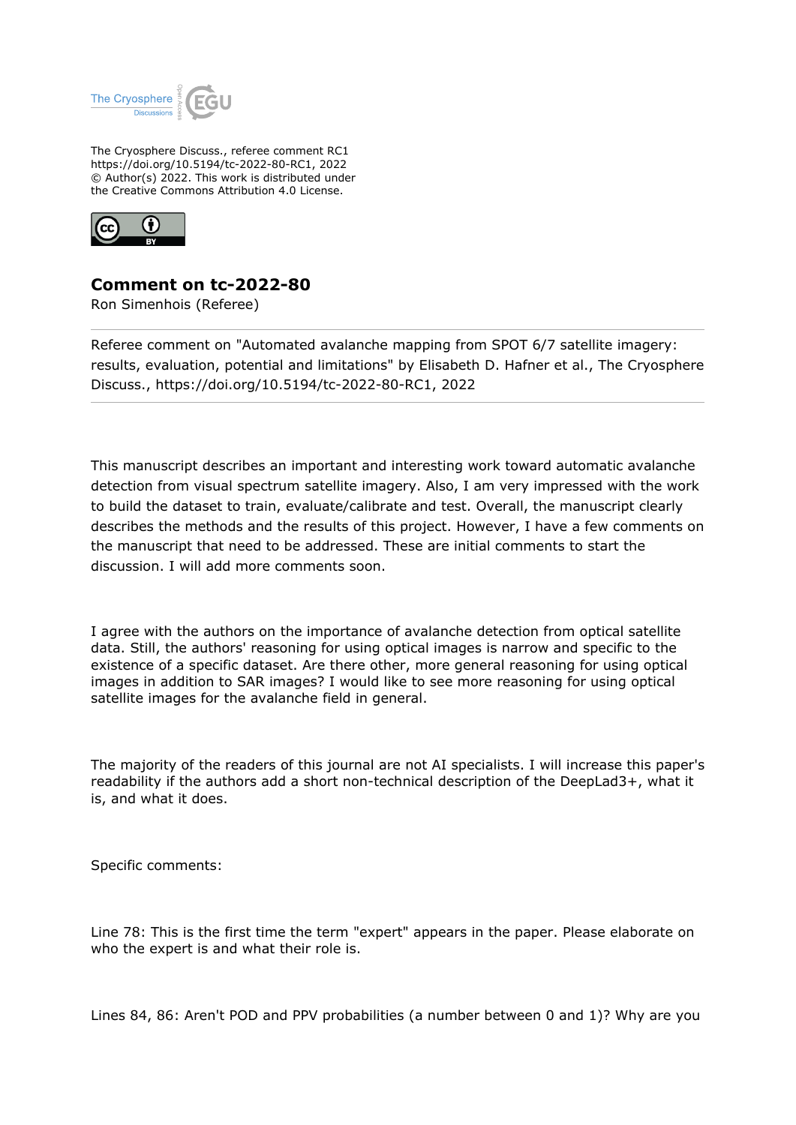

The Cryosphere Discuss., referee comment RC1 https://doi.org/10.5194/tc-2022-80-RC1, 2022 © Author(s) 2022. This work is distributed under the Creative Commons Attribution 4.0 License.



## **Comment on tc-2022-80**

Ron Simenhois (Referee)

Referee comment on "Automated avalanche mapping from SPOT 6/7 satellite imagery: results, evaluation, potential and limitations" by Elisabeth D. Hafner et al., The Cryosphere Discuss., https://doi.org/10.5194/tc-2022-80-RC1, 2022

This manuscript describes an important and interesting work toward automatic avalanche detection from visual spectrum satellite imagery. Also, I am very impressed with the work to build the dataset to train, evaluate/calibrate and test. Overall, the manuscript clearly describes the methods and the results of this project. However, I have a few comments on the manuscript that need to be addressed. These are initial comments to start the discussion. I will add more comments soon.

I agree with the authors on the importance of avalanche detection from optical satellite data. Still, the authors' reasoning for using optical images is narrow and specific to the existence of a specific dataset. Are there other, more general reasoning for using optical images in addition to SAR images? I would like to see more reasoning for using optical satellite images for the avalanche field in general.

The majority of the readers of this journal are not AI specialists. I will increase this paper's readability if the authors add a short non-technical description of the DeepLad3+, what it is, and what it does.

Specific comments:

Line 78: This is the first time the term "expert" appears in the paper. Please elaborate on who the expert is and what their role is.

Lines 84, 86: Aren't POD and PPV probabilities (a number between 0 and 1)? Why are you